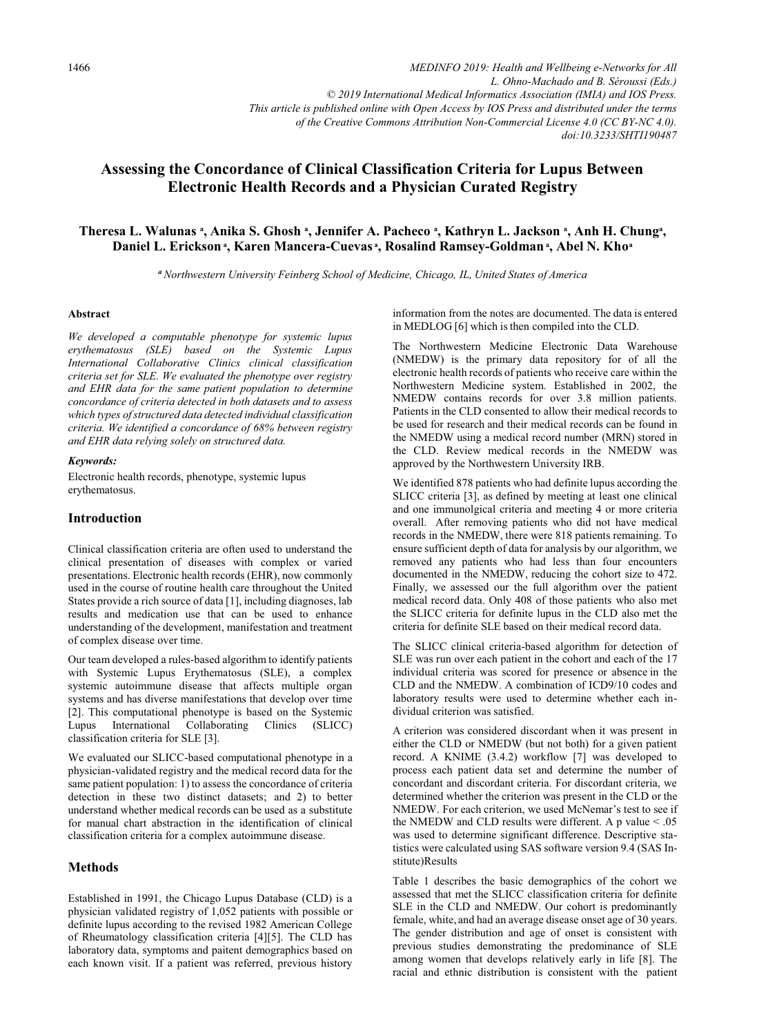*MEDINFO 2019: Health and Wellbeing e-Networks for All L. Ohno-Machado and B. Séroussi (Eds.) © 2019 International Medical Informatics Association (IMIA) and IOS Press. This article is published online with Open Access by IOS Press and distributed under the terms of the Creative Commons Attribution Non-Commercial License 4.0 (CC BY-NC 4.0). doi:10.3233/SHTI190487*

# **Assessing the Concordance of Clinical Classification Criteria for Lupus Between Electronic Health Records and a Physician Curated Registry**

# Theresa L. Walunas ª, Anika S. Ghosh ª, Jennifer A. Pacheco ª, Kathryn L. Jackson ª, Anh H. Chung<del>ª</del>, Daniel L. Ericksonª, Karen Mancera-Cuevasª, Rosalind Ramsey-Goldmanª, Abel N. Khoª

*<sup>a</sup>Northwestern University Feinberg School of Medicine, Chicago, IL, United States of America*

#### **Abstract**

*We developed a computable phenotype for systemic lupus erythematosus (SLE) based on the Systemic Lupus International Collaborative Clinics clinical classification criteria set for SLE. We evaluated the phenotype over registry and EHR data for the same patient population to determine concordance of criteria detected in both datasets and to assess which types of structured data detected individual classification criteria. We identified a concordance of 68% between registry and EHR data relying solely on structured data.* 

#### *Keywords:*

Electronic health records, phenotype, systemic lupus erythematosus.

### **Introduction**

Clinical classification criteria are often used to understand the clinical presentation of diseases with complex or varied presentations. Electronic health records (EHR), now commonly used in the course of routine health care throughout the United States provide a rich source of data [1], including diagnoses, lab results and medication use that can be used to enhance understanding of the development, manifestation and treatment of complex disease over time.

Our team developed a rules-based algorithm to identify patients with Systemic Lupus Erythematosus (SLE), a complex systemic autoimmune disease that affects multiple organ systems and has diverse manifestations that develop over time [2]. This computational phenotype is based on the Systemic Lupus International Collaborating Clinics (SLICC) classification criteria for SLE [3].

We evaluated our SLICC-based computational phenotype in a physician-validated registry and the medical record data for the same patient population: 1) to assess the concordance of criteria detection in these two distinct datasets; and 2) to better understand whether medical records can be used as a substitute for manual chart abstraction in the identification of clinical classification criteria for a complex autoimmune disease.

## **Methods**

Established in 1991, the Chicago Lupus Database (CLD) is a physician validated registry of 1,052 patients with possible or definite lupus according to the revised 1982 American College of Rheumatology classification criteria [4][5]. The CLD has laboratory data, symptoms and paitent demographics based on each known visit. If a patient was referred, previous history

information from the notes are documented. The data is entered in MEDLOG [6] which is then compiled into the CLD.

The Northwestern Medicine Electronic Data Warehouse (NMEDW) is the primary data repository for of all the electronic health records of patients who receive care within the Northwestern Medicine system. Established in 2002, the NMEDW contains records for over 3.8 million patients. Patients in the CLD consented to allow their medical records to be used for research and their medical records can be found in the NMEDW using a medical record number (MRN) stored in the CLD. Review medical records in the NMEDW was approved by the Northwestern University IRB.

We identified 878 patients who had definite lupus according the SLICC criteria [3], as defined by meeting at least one clinical and one immunolgical criteria and meeting 4 or more criteria overall. After removing patients who did not have medical records in the NMEDW, there were 818 patients remaining. To ensure sufficient depth of data for analysis by our algorithm, we removed any patients who had less than four encounters documented in the NMEDW, reducing the cohort size to 472. Finally, we assessed our the full algorithm over the patient medical record data. Only 408 of those patients who also met the SLICC criteria for definite lupus in the CLD also met the criteria for definite SLE based on their medical record data.

The SLICC clinical criteria-based algorithm for detection of SLE was run over each patient in the cohort and each of the 17 individual criteria was scored for presence or absence in the CLD and the NMEDW. A combination of ICD9/10 codes and laboratory results were used to determine whether each individual criterion was satisfied.

A criterion was considered discordant when it was present in either the CLD or NMEDW (but not both) for a given patient record. A KNIME (3.4.2) workflow [7] was developed to process each patient data set and determine the number of concordant and discordant criteria. For discordant criteria, we determined whether the criterion was present in the CLD or the NMEDW. For each criterion, we used McNemar's test to see if the NMEDW and CLD results were different. A p value < .05 was used to determine significant difference. Descriptive statistics were calculated using SAS software version 9.4 (SAS Institute)Results

Table 1 describes the basic demographics of the cohort we assessed that met the SLICC classification criteria for definite SLE in the CLD and NMEDW. Our cohort is predominantly female, white, and had an average disease onset age of 30 years. The gender distribution and age of onset is consistent with previous studies demonstrating the predominance of SLE among women that develops relatively early in life [8]. The racial and ethnic distribution is consistent with the patient